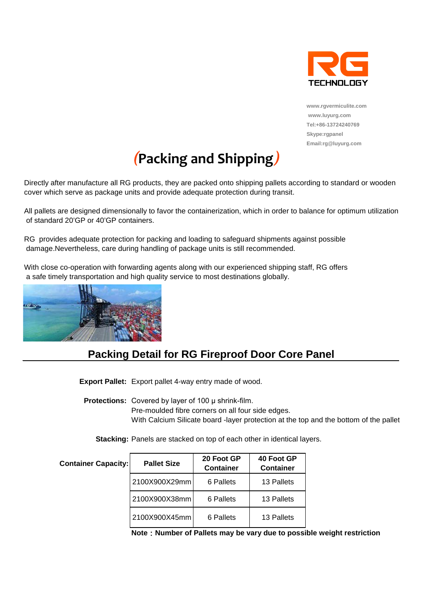

**www.rgvermiculite.com www.luyurg.com [Tel:+86-13724240769](tel:+86-13724240769)  Skype:rgpanel Email:rg@luyurg.com**

# *(***Packing and Shipping***)*

Directly after manufacture all RG products, they are packed onto shipping pallets according to standard or wooden cover which serve as package units and provide adequate protection during transit.

All pallets are designed dimensionally to favor the containerization, which in order to balance for optimum utilization of standard 20'GP or 40'GP containers.

RG provides adequate protection for packing and loading to safeguard shipments against possible damage.Nevertheless, care during handling of package units is still recommended.

With close co-operation with forwarding agents along with our experienced shipping staff, RG offers a safe timely transportation and high quality service to most destinations globally.



### **Packing Detail for RG Fireproof Door Core Panel**

**Export Pallet:** Export pallet 4-way entry made of wood.

**Protections:** Covered by layer of 100 μ shrink-film. Pre-moulded fibre corners on all four side edges. With Calcium Silicate board -layer protection at the top and the bottom of the pallet

**Stacking:** Panels are stacked on top of each other in identical layers.

| <b>Container Capacity:</b> | <b>Pallet Size</b> | 20 Foot GP<br><b>Container</b> | 40 Foot GP<br><b>Container</b> |
|----------------------------|--------------------|--------------------------------|--------------------------------|
|                            | 2100X900X29mm      | 6 Pallets                      | 13 Pallets                     |
|                            | 2100X900X38mm      | 6 Pallets                      | 13 Pallets                     |
|                            | 2100X900X45mm      | 6 Pallets                      | 13 Pallets                     |

**Note**:**Number of Pallets may be vary due to possible weight restriction**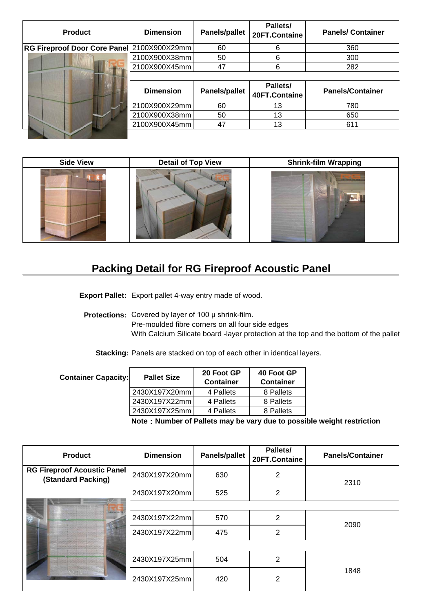| <b>Product</b>                             | <b>Dimension</b> | <b>Panels/pallet</b> | Pallets/<br>20FT.Containe | <b>Panels/Container</b> |
|--------------------------------------------|------------------|----------------------|---------------------------|-------------------------|
| RG Fireproof Door Core Panel 2100X900X29mm |                  | 60                   | 6                         | 360                     |
|                                            | 2100X900X38mm    | 50                   | 6                         | 300                     |
|                                            | 2100X900X45mm    | 47                   | 6                         | 282                     |
|                                            |                  |                      |                           |                         |
|                                            |                  |                      |                           |                         |
|                                            | <b>Dimension</b> | <b>Panels/pallet</b> | Pallets/<br>40FT.Containe | <b>Panels/Container</b> |
|                                            | 2100X900X29mm    | 60                   | 13                        | 780                     |
|                                            | 2100X900X38mm    | 50                   | 13                        | 650                     |
|                                            | 2100X900X45mm    | 47                   | 13                        | 611                     |

| <b>Side View</b> | <b>Detail of Top View</b> | <b>Shrink-film Wrapping</b> |
|------------------|---------------------------|-----------------------------|
|                  |                           | <b>SCHOOL SECTION</b>       |

## **Packing Detail for RG Fireproof Acoustic Panel**

**Export Pallet:** Export pallet 4-way entry made of wood.

**Protections:** Covered by layer of 100 μ shrink-film.

Pre-moulded fibre corners on all four side edges

With Calcium Silicate board -layer protection at the top and the bottom of the pallet

**Stacking:** Panels are stacked on top of each other in identical layers.

| <b>Container Capacity:</b> | <b>Pallet Size</b> | 20 Foot GP<br><b>Container</b> | 40 Foot GP<br><b>Container</b> |
|----------------------------|--------------------|--------------------------------|--------------------------------|
|                            | 2430X197X20mm      | 4 Pallets                      | 8 Pallets                      |
|                            | 2430X197X22mm      | 4 Pallets                      | 8 Pallets                      |
|                            | 2430X197X25mm      | 4 Pallets                      | 8 Pallets                      |
|                            |                    |                                | --                             |

**Note**:**Number of Pallets may be vary due to possible weight restriction**

| <b>Product</b>                                           | <b>Dimension</b> | <b>Panels/pallet</b> | Pallets/<br>20FT.Containe | <b>Panels/Container</b> |
|----------------------------------------------------------|------------------|----------------------|---------------------------|-------------------------|
| <b>RG Fireproof Acoustic Panel</b><br>(Standard Packing) | 2430X197X20mm    | 630                  | 2                         | 2310                    |
|                                                          | 2430X197X20mm    | 525                  | 2                         |                         |
|                                                          |                  |                      |                           |                         |
| <b><i>NUMBER</i></b>                                     | 2430X197X22mm    | 570                  | 2                         | 2090                    |
|                                                          | 2430X197X22mm    | 475                  | 2                         |                         |
|                                                          |                  |                      |                           |                         |
|                                                          | 2430X197X25mm    | 504                  | 2                         |                         |
|                                                          | 2430X197X25mm    | 420                  | 2                         | 1848                    |